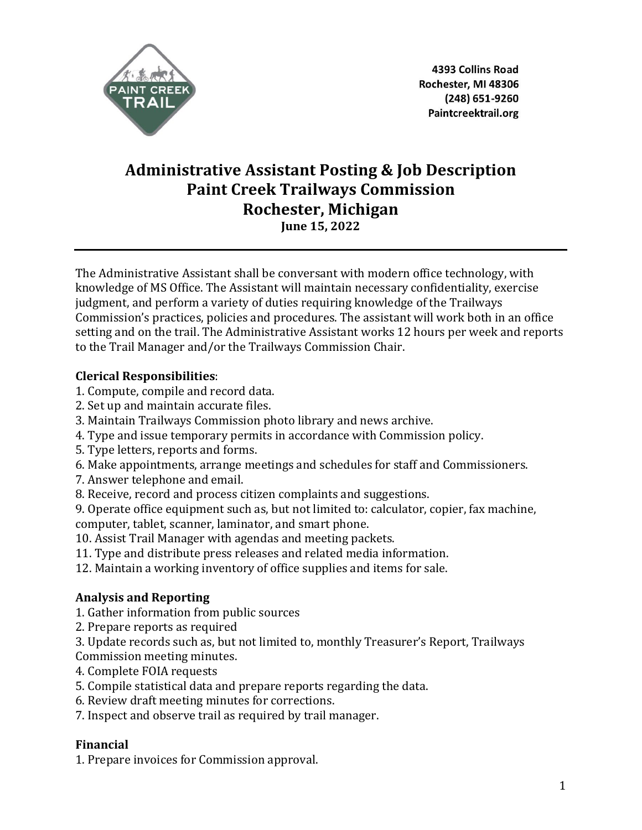

4393 Collins Road Rochester, MI 48306 (248) 651-9260 Paintcreektrail.org

# **Administrative Assistant Posting & Job Description Paint Creek Trailways Commission Rochester, Michigan June 15, 2022**

The Administrative Assistant shall be conversant with modern office technology, with knowledge of MS Office. The Assistant will maintain necessary confidentiality, exercise judgment, and perform a variety of duties requiring knowledge of the Trailways Commission's practices, policies and procedures. The assistant will work both in an office setting and on the trail. The Administrative Assistant works 12 hours per week and reports to the Trail Manager and/or the Trailways Commission Chair.

## **Clerical Responsibilities**:

- 1. Compute, compile and record data.
- 2. Set up and maintain accurate files.
- 3. Maintain Trailways Commission photo library and news archive.
- 4. Type and issue temporary permits in accordance with Commission policy.
- 5. Type letters, reports and forms.
- 6. Make appointments, arrange meetings and schedules for staff and Commissioners.
- 7. Answer telephone and email.
- 8. Receive, record and process citizen complaints and suggestions.

9. Operate office equipment such as, but not limited to: calculator, copier, fax machine, computer, tablet, scanner, laminator, and smart phone.

10. Assist Trail Manager with agendas and meeting packets.

11. Type and distribute press releases and related media information.

12. Maintain a working inventory of office supplies and items for sale.

# **Analysis and Reporting**

1. Gather information from public sources

2. Prepare reports as required

3. Update records such as, but not limited to, monthly Treasurer's Report, Trailways Commission meeting minutes.

- 4. Complete FOIA requests
- 5. Compile statistical data and prepare reports regarding the data.
- 6. Review draft meeting minutes for corrections.
- 7. Inspect and observe trail as required by trail manager.

# **Financial**

1. Prepare invoices for Commission approval.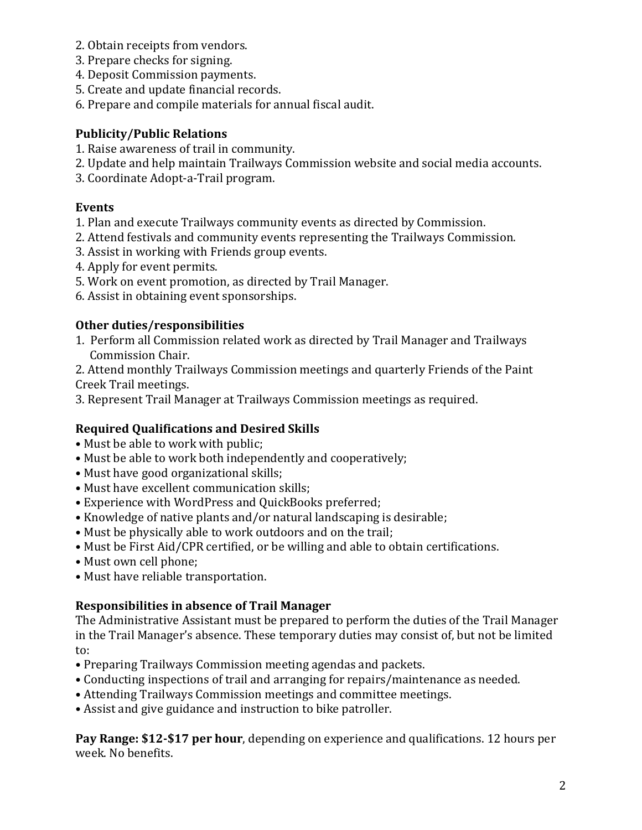- 2. Obtain receipts from vendors.
- 3. Prepare checks for signing.
- 4. Deposit Commission payments.
- 5. Create and update financial records.
- 6. Prepare and compile materials for annual fiscal audit.

## **Publicity/Public Relations**

- 1. Raise awareness of trail in community.
- 2. Update and help maintain Trailways Commission website and social media accounts.
- 3. Coordinate Adopt-a-Trail program.

#### **Events**

- 1. Plan and execute Trailways community events as directed by Commission.
- 2. Attend festivals and community events representing the Trailways Commission.
- 3. Assist in working with Friends group events.
- 4. Apply for event permits.
- 5. Work on event promotion, as directed by Trail Manager.
- 6. Assist in obtaining event sponsorships.

# **Other duties/responsibilities**

1. Perform all Commission related work as directed by Trail Manager and Trailways Commission Chair.

2. Attend monthly Trailways Commission meetings and quarterly Friends of the Paint Creek Trail meetings.

3. Represent Trail Manager at Trailways Commission meetings as required.

# **Required Qualifications and Desired Skills**

- Must be able to work with public;
- Must be able to work both independently and cooperatively;
- Must have good organizational skills;
- Must have excellent communication skills;
- Experience with WordPress and QuickBooks preferred;
- Knowledge of native plants and/or natural landscaping is desirable;
- Must be physically able to work outdoors and on the trail;
- Must be First Aid/CPR certified, or be willing and able to obtain certifications.
- Must own cell phone;
- Must have reliable transportation.

# **Responsibilities in absence of Trail Manager**

The Administrative Assistant must be prepared to perform the duties of the Trail Manager in the Trail Manager's absence. These temporary duties may consist of, but not be limited to:

- Preparing Trailways Commission meeting agendas and packets.
- Conducting inspections of trail and arranging for repairs/maintenance as needed.
- Attending Trailways Commission meetings and committee meetings.
- Assist and give guidance and instruction to bike patroller.

**Pay Range: \$12-\$17 per hour**, depending on experience and qualifications. 12 hours per week. No benefits.